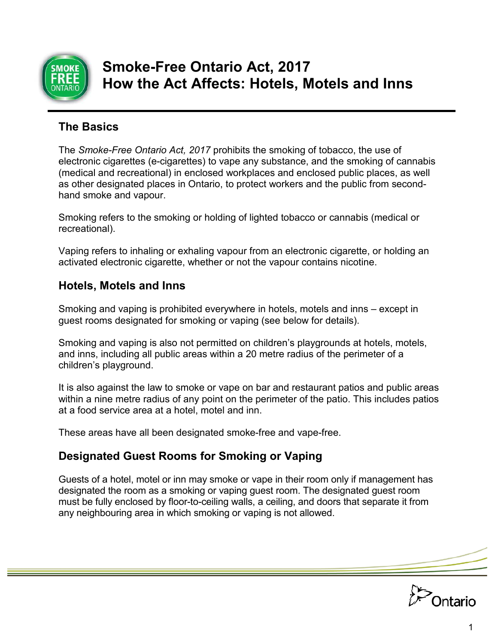

# **Smoke-Free Ontario Act, 2017 How the Act Affects: Hotels, Motels and Inns**

#### **The Basics**

The *Smoke-Free Ontario Act, 2017* prohibits the smoking of tobacco, the use of electronic cigarettes (e-cigarettes) to vape any substance, and the smoking of cannabis (medical and recreational) in enclosed workplaces and enclosed public places, as well as other designated places in Ontario, to protect workers and the public from secondhand smoke and vapour.

Smoking refers to the smoking or holding of lighted tobacco or cannabis (medical or recreational).

Vaping refers to inhaling or exhaling vapour from an electronic cigarette, or holding an activated electronic cigarette, whether or not the vapour contains nicotine.

#### **Hotels, Motels and Inns**

Smoking and vaping is prohibited everywhere in hotels, motels and inns – except in guest rooms designated for smoking or vaping (see below for details).

Smoking and vaping is also not permitted on children's playgrounds at hotels, motels, and inns, including all public areas within a 20 metre radius of the perimeter of a children's playground.

It is also against the law to smoke or vape on bar and restaurant patios and public areas within a nine metre radius of any point on the perimeter of the patio. This includes patios at a food service area at a hotel, motel and inn.

These areas have all been designated smoke-free and vape-free.

# **Designated Guest Rooms for Smoking or Vaping**

Guests of a hotel, motel or inn may smoke or vape in their room only if management has designated the room as a smoking or vaping guest room. The designated guest room must be fully enclosed by floor-to-ceiling walls, a ceiling, and doors that separate it from any neighbouring area in which smoking or vaping is not allowed.

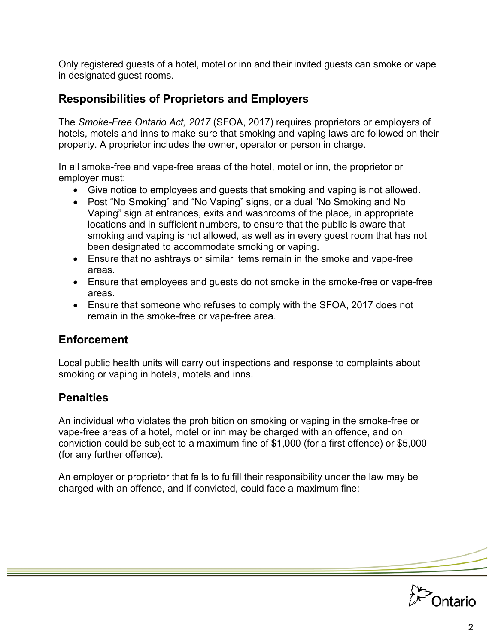Only registered guests of a hotel, motel or inn and their invited guests can smoke or vape in designated guest rooms.

#### **Responsibilities of Proprietors and Employers**

The *Smoke-Free Ontario Act, 2017* (SFOA, 2017) requires proprietors or employers of hotels, motels and inns to make sure that smoking and vaping laws are followed on their property. A proprietor includes the owner, operator or person in charge.

In all smoke-free and vape-free areas of the hotel, motel or inn, the proprietor or employer must:

- Give notice to employees and guests that smoking and vaping is not allowed.
- Post "No Smoking" and "No Vaping" signs, or a dual "No Smoking and No Vaping" sign at entrances, exits and washrooms of the place, in appropriate locations and in sufficient numbers, to ensure that the public is aware that smoking and vaping is not allowed, as well as in every guest room that has not been designated to accommodate smoking or vaping.
- Ensure that no ashtrays or similar items remain in the smoke and vape-free areas.
- Ensure that employees and guests do not smoke in the smoke-free or vape-free areas.
- Ensure that someone who refuses to comply with the SFOA, 2017 does not remain in the smoke-free or vape-free area.

# **Enforcement**

Local public health units will carry out inspections and response to complaints about smoking or vaping in hotels, motels and inns.

# **Penalties**

An individual who violates the prohibition on smoking or vaping in the smoke-free or vape-free areas of a hotel, motel or inn may be charged with an offence, and on conviction could be subject to a maximum fine of \$1,000 (for a first offence) or \$5,000 (for any further offence).

An employer or proprietor that fails to fulfill their responsibility under the law may be charged with an offence, and if convicted, could face a maximum fine: